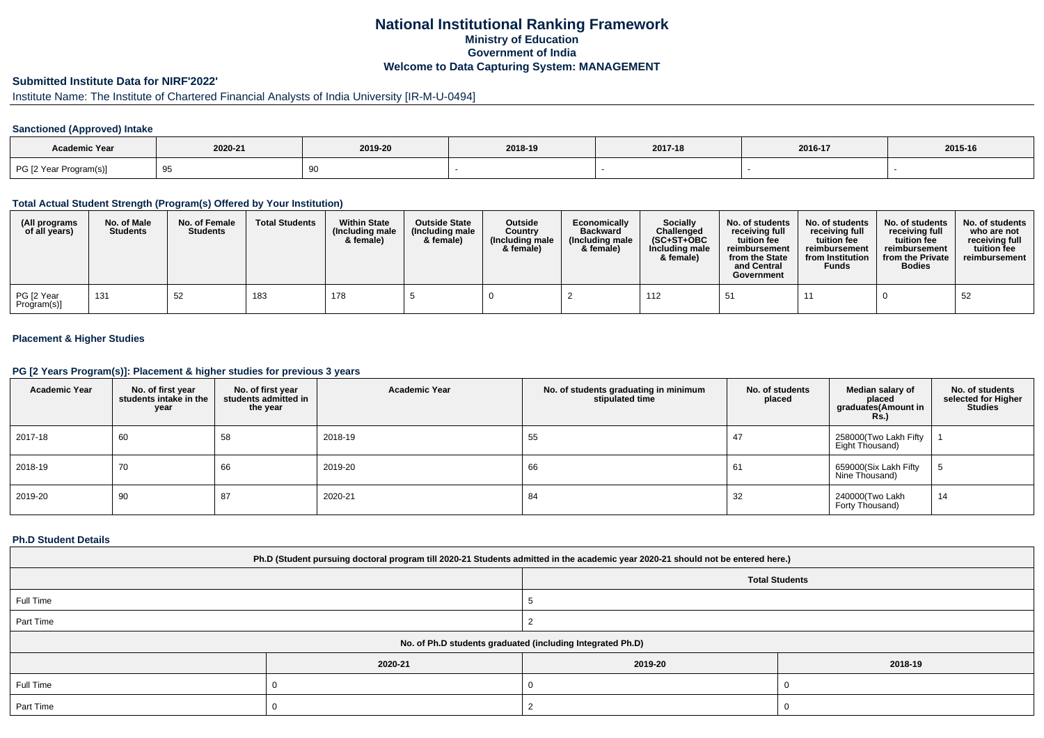# **National Institutional Ranking FrameworkMinistry of Education Government of IndiaWelcome to Data Capturing System: MANAGEMENT**

# **Submitted Institute Data for NIRF'2022'**

# Institute Name: The Institute of Chartered Financial Analysts of India University [IR-M-U-0494]

### **Sanctioned (Approved) Intake**

| Academic Year          |         |         |         |         |         |         |
|------------------------|---------|---------|---------|---------|---------|---------|
|                        | 2020-21 | 2019-20 | 2018-19 | 2017-18 | 2016-17 | 2015-16 |
| PG [2 Year Program(s)] | ູ       |         |         |         |         |         |

#### **Total Actual Student Strength (Program(s) Offered by Your Institution)**

| (All programs<br>of all years) | No. of Male<br><b>Students</b> | No. of Female<br><b>Students</b> | <b>Total Students</b> | <b>Within State</b><br>(Including male)<br>& female) | <b>Outside State</b><br>(Including male<br>& female) | Outside<br>Country<br>(Including male)<br>& female) | Economically<br><b>Backward</b><br>(Including male<br>& female) | Socially<br>Challenged<br>$(SC+ST+OBC$<br>Including male<br>& female) | No. of students<br>receiving full<br>tuition fee<br>reimbursement<br>from the State<br>and Central<br>Government | No. of students<br>receiving full<br>tuition fee<br>reimbursement<br>from Institution<br><b>Funds</b> | No. of students<br>receiving full<br>tuition fee<br>reimbursement<br>from the Private<br><b>Bodies</b> | No. of students<br>who are not<br>receiving full<br>tuition fee<br>reimbursement |
|--------------------------------|--------------------------------|----------------------------------|-----------------------|------------------------------------------------------|------------------------------------------------------|-----------------------------------------------------|-----------------------------------------------------------------|-----------------------------------------------------------------------|------------------------------------------------------------------------------------------------------------------|-------------------------------------------------------------------------------------------------------|--------------------------------------------------------------------------------------------------------|----------------------------------------------------------------------------------|
| PG [2 Year<br>Program(s)]      | 131                            | 52                               | 183                   | 178                                                  |                                                      |                                                     |                                                                 | 112                                                                   |                                                                                                                  |                                                                                                       |                                                                                                        | 52                                                                               |

## **Placement & Higher Studies**

#### **PG [2 Years Program(s)]: Placement & higher studies for previous 3 years**

| <b>Academic Year</b> | No. of first year<br>students intake in the<br>year | No. of first vear<br>students admitted in<br>the year | <b>Academic Year</b> | No. of students graduating in minimum<br>stipulated time | No. of students<br>placed | Median salary of<br>placed<br>graduates(Amount in<br>Rs.) | No. of students<br>selected for Higher<br><b>Studies</b> |
|----------------------|-----------------------------------------------------|-------------------------------------------------------|----------------------|----------------------------------------------------------|---------------------------|-----------------------------------------------------------|----------------------------------------------------------|
| 2017-18              | 60                                                  | 58                                                    | 2018-19              | 55                                                       | 47                        | 258000(Two Lakh Fifty<br>Eight Thousand)                  |                                                          |
| 2018-19              | 70                                                  | 66                                                    | 2019-20              | 66                                                       | 61                        | 659000(Six Lakh Fifty<br>Nine Thousand)                   |                                                          |
| 2019-20              | 90                                                  | 87                                                    | 2020-21              | 84                                                       | 32                        | 240000(Two Lakh<br>Forty Thousand)                        | 14                                                       |

#### **Ph.D Student Details**

| Ph.D (Student pursuing doctoral program till 2020-21 Students admitted in the academic year 2020-21 should not be entered here.) |                                                            |         |         |  |  |  |  |
|----------------------------------------------------------------------------------------------------------------------------------|------------------------------------------------------------|---------|---------|--|--|--|--|
|                                                                                                                                  | <b>Total Students</b>                                      |         |         |  |  |  |  |
| Full Time                                                                                                                        |                                                            |         |         |  |  |  |  |
| Part Time                                                                                                                        |                                                            |         |         |  |  |  |  |
|                                                                                                                                  | No. of Ph.D students graduated (including Integrated Ph.D) |         |         |  |  |  |  |
|                                                                                                                                  | 2020-21                                                    | 2019-20 | 2018-19 |  |  |  |  |
| Full Time                                                                                                                        |                                                            |         |         |  |  |  |  |
| Part Time                                                                                                                        |                                                            |         |         |  |  |  |  |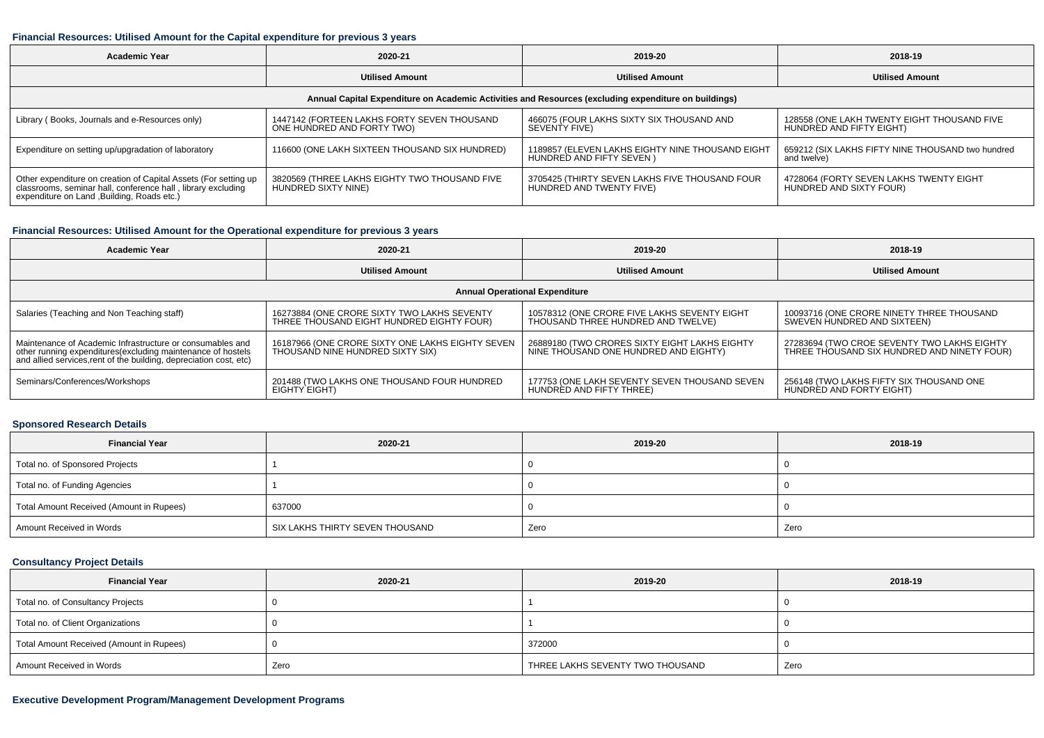#### **Financial Resources: Utilised Amount for the Capital expenditure for previous 3 years**

| <b>Academic Year</b>                                                                                                                                                          | 2020-21                                                                   | 2019-20                                                                       | 2018-19                                                                 |  |  |  |  |  |  |
|-------------------------------------------------------------------------------------------------------------------------------------------------------------------------------|---------------------------------------------------------------------------|-------------------------------------------------------------------------------|-------------------------------------------------------------------------|--|--|--|--|--|--|
|                                                                                                                                                                               | <b>Utilised Amount</b>                                                    | <b>Utilised Amount</b>                                                        | <b>Utilised Amount</b>                                                  |  |  |  |  |  |  |
| Annual Capital Expenditure on Academic Activities and Resources (excluding expenditure on buildings)                                                                          |                                                                           |                                                                               |                                                                         |  |  |  |  |  |  |
| Library (Books, Journals and e-Resources only)                                                                                                                                | 1447142 (FORTEEN LAKHS FORTY SEVEN THOUSAND<br>ONE HUNDRED AND FORTY TWO) | 466075 (FOUR LAKHS SIXTY SIX THOUSAND AND<br>SEVENTY FIVE)                    | 128558 (ONE LAKH TWENTY EIGHT THOUSAND FIVE<br>HUNDRED AND FIFTY EIGHT) |  |  |  |  |  |  |
| Expenditure on setting up/upgradation of laboratory                                                                                                                           | 116600 (ONE LAKH SIXTEEN THOUSAND SIX HUNDRED)                            | 1189857 (ELEVEN LAKHS EIGHTY NINE THOUSAND EIGHT<br>HUNDRED AND FIFTY SEVEN ) | 659212 (SIX LAKHS FIFTY NINE THOUSAND two hundred<br>and twelve)        |  |  |  |  |  |  |
| Other expenditure on creation of Capital Assets (For setting up<br>classrooms, seminar hall, conference hall, library excluding<br>expenditure on Land ,Building, Roads etc.) | 3820569 (THREE LAKHS EIGHTY TWO THOUSAND FIVE<br>HUNDRED SIXTY NINE)      | 3705425 (THIRTY SEVEN LAKHS FIVE THOUSAND FOUR<br>HUNDRED AND TWENTY FIVE)    | 4728064 (FORTY SEVEN LAKHS TWENTY EIGHT<br>HUNDRED AND SIXTY FOUR)      |  |  |  |  |  |  |

## **Financial Resources: Utilised Amount for the Operational expenditure for previous 3 years**

| <b>Academic Year</b>                                                                                                              | 2020-21                                          | 2019-20                                       | 2018-19                                     |  |  |  |  |  |  |
|-----------------------------------------------------------------------------------------------------------------------------------|--------------------------------------------------|-----------------------------------------------|---------------------------------------------|--|--|--|--|--|--|
|                                                                                                                                   | <b>Utilised Amount</b>                           | <b>Utilised Amount</b>                        | <b>Utilised Amount</b>                      |  |  |  |  |  |  |
| <b>Annual Operational Expenditure</b>                                                                                             |                                                  |                                               |                                             |  |  |  |  |  |  |
| Salaries (Teaching and Non Teaching staff)                                                                                        | 16273884 (ONE CRORE SIXTY TWO LAKHS SEVENTY      | 10578312 (ONE CRORE FIVE LAKHS SEVENTY EIGHT  | 10093716 (ONE CRORE NINETY THREE THOUSAND   |  |  |  |  |  |  |
|                                                                                                                                   | THREE THOUSAND EIGHT HUNDRED EIGHTY FOUR)        | THOUSAND THREE HUNDRED AND TWELVE)            | SWEVEN HUNDRED AND SIXTEEN)                 |  |  |  |  |  |  |
| Maintenance of Academic Infrastructure or consumables and                                                                         | 16187966 (ONE CRORE SIXTY ONE LAKHS EIGHTY SEVEN | 26889180 (TWO CRORES SIXTY EIGHT LAKHS EIGHTY | 27283694 (TWO CROE SEVENTY TWO LAKHS EIGHTY |  |  |  |  |  |  |
| other running expenditures(excluding maintenance of hostels<br>and allied services, rent of the building, depreciation cost, etc) | THOUSAND NINE HUNDRED SIXTY SIX)                 | NINE THOUSAND ONE HUNDRED AND EIGHTY)         | THREE THOUSAND SIX HUNDRED AND NINETY FOUR) |  |  |  |  |  |  |
| Seminars/Conferences/Workshops                                                                                                    | 201488 (TWO LAKHS ONE THOUSAND FOUR HUNDRED      | 177753 (ONE LAKH SEVENTY SEVEN THOUSAND SEVEN | 256148 (TWO LAKHS FIFTY SIX THOUSAND ONE    |  |  |  |  |  |  |
|                                                                                                                                   | EIGHTY EIGHT)                                    | HUNDRED AND FIFTY THREE)                      | HUNDRED AND FORTY EIGHT)                    |  |  |  |  |  |  |

## **Sponsored Research Details**

| <b>Financial Year</b>                    | 2020-21                         | 2019-20 | 2018-19 |
|------------------------------------------|---------------------------------|---------|---------|
| Total no. of Sponsored Projects          |                                 |         |         |
| Total no. of Funding Agencies            |                                 |         |         |
| Total Amount Received (Amount in Rupees) | 637000                          |         |         |
| Amount Received in Words                 | SIX LAKHS THIRTY SEVEN THOUSAND | Zero    | Zero    |

## **Consultancy Project Details**

| <b>Financial Year</b>                    | 2020-21 | 2019-20                          | 2018-19 |
|------------------------------------------|---------|----------------------------------|---------|
| Total no. of Consultancy Projects        |         |                                  |         |
| Total no. of Client Organizations        |         |                                  |         |
| Total Amount Received (Amount in Rupees) |         | 372000                           |         |
| Amount Received in Words                 | Zero    | THREE LAKHS SEVENTY TWO THOUSAND | Zero    |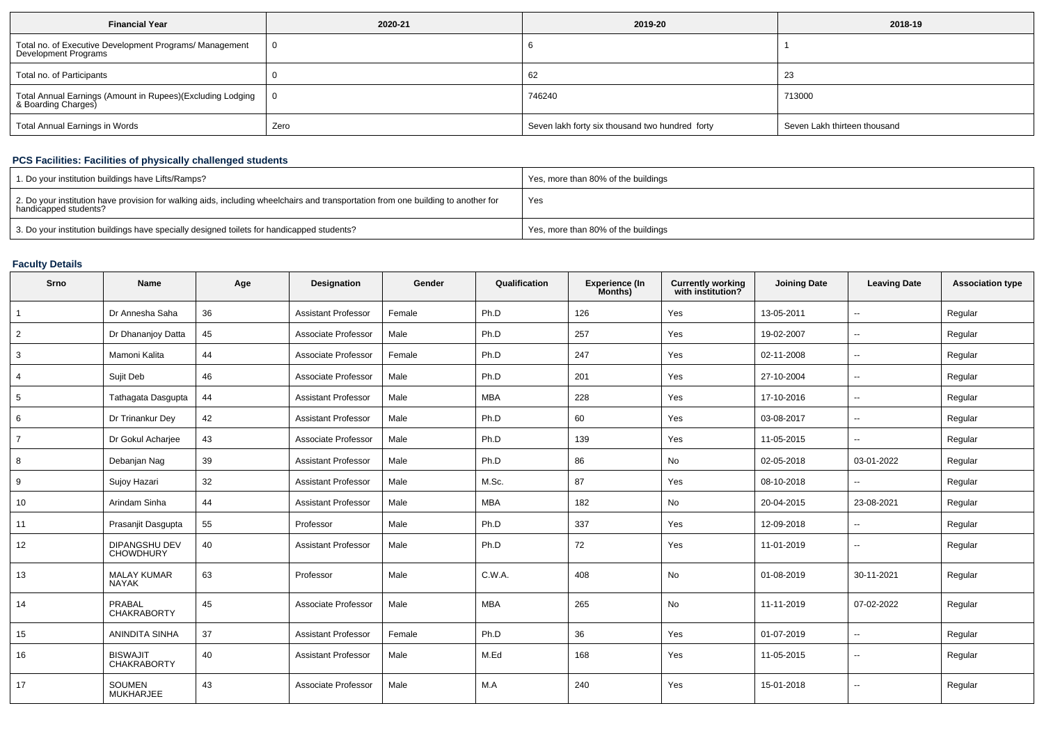| <b>Financial Year</b>                                                             | 2020-21 | 2019-20                                         | 2018-19                      |
|-----------------------------------------------------------------------------------|---------|-------------------------------------------------|------------------------------|
| Total no. of Executive Development Programs/ Management<br>Development Programs   |         |                                                 |                              |
| Total no. of Participants                                                         |         | 62                                              | 23                           |
| Total Annual Earnings (Amount in Rupees)(Excluding Lodging<br>& Boarding Charges) | 0       | 746240                                          | 713000                       |
| Total Annual Earnings in Words                                                    | Zero    | Seven lakh forty six thousand two hundred forty | Seven Lakh thirteen thousand |

## **PCS Facilities: Facilities of physically challenged students**

| 1. Do your institution buildings have Lifts/Ramps?                                                                                                         | Yes, more than 80% of the buildings |
|------------------------------------------------------------------------------------------------------------------------------------------------------------|-------------------------------------|
| 2. Do your institution have provision for walking aids, including wheelchairs and transportation from one building to another for<br>handicapped students? | Yes                                 |
| 3. Do your institution buildings have specially designed toilets for handicapped students?                                                                 | Yes, more than 80% of the buildings |

## **Faculty Details**

| Srno           | <b>Name</b>                              | Age | Designation                | Gender | Qualification | <b>Experience (In</b><br>Months) | <b>Currently working</b><br>with institution? | <b>Joining Date</b> | <b>Leaving Date</b>      | <b>Association type</b> |
|----------------|------------------------------------------|-----|----------------------------|--------|---------------|----------------------------------|-----------------------------------------------|---------------------|--------------------------|-------------------------|
|                | Dr Annesha Saha                          | 36  | <b>Assistant Professor</b> | Female | Ph.D          | 126                              | Yes                                           | 13-05-2011          | $\overline{a}$           | Regular                 |
| $\overline{2}$ | Dr Dhananjoy Datta                       | 45  | Associate Professor        | Male   | Ph.D          | 257                              | Yes                                           | 19-02-2007          | ٠.                       | Regular                 |
| 3              | Mamoni Kalita                            | 44  | Associate Professor        | Female | Ph.D          | 247                              | Yes                                           | 02-11-2008          | $\overline{\phantom{a}}$ | Regular                 |
| $\overline{4}$ | Sujit Deb                                | 46  | Associate Professor        | Male   | Ph.D          | 201                              | Yes                                           | 27-10-2004          | $\overline{\phantom{a}}$ | Regular                 |
| 5              | Tathagata Dasgupta                       | 44  | <b>Assistant Professor</b> | Male   | <b>MBA</b>    | 228                              | Yes                                           | 17-10-2016          | $\sim$                   | Regular                 |
| 6              | Dr Trinankur Dey                         | 42  | <b>Assistant Professor</b> | Male   | Ph.D          | 60                               | Yes                                           | 03-08-2017          | $\overline{\phantom{a}}$ | Regular                 |
| 7              | Dr Gokul Acharjee                        | 43  | Associate Professor        | Male   | Ph.D          | 139                              | Yes                                           | 11-05-2015          | $\overline{\phantom{a}}$ | Regular                 |
| 8              | Debanjan Nag                             | 39  | <b>Assistant Professor</b> | Male   | Ph.D          | 86                               | No                                            | 02-05-2018          | 03-01-2022               | Regular                 |
| 9              | Sujoy Hazari                             | 32  | <b>Assistant Professor</b> | Male   | M.Sc.         | 87                               | Yes                                           | 08-10-2018          | $\overline{a}$           | Regular                 |
| 10             | Arindam Sinha                            | 44  | <b>Assistant Professor</b> | Male   | <b>MBA</b>    | 182                              | No                                            | 20-04-2015          | 23-08-2021               | Regular                 |
| 11             | Prasanjit Dasgupta                       | 55  | Professor                  | Male   | Ph.D          | 337                              | Yes                                           | 12-09-2018          | $\overline{\phantom{a}}$ | Regular                 |
| 12             | <b>DIPANGSHU DEV</b><br><b>CHOWDHURY</b> | 40  | <b>Assistant Professor</b> | Male   | Ph.D          | 72                               | Yes                                           | 11-01-2019          | $\overline{\phantom{a}}$ | Regular                 |
| 13             | <b>MALAY KUMAR</b><br><b>NAYAK</b>       | 63  | Professor                  | Male   | C.W.A.        | 408                              | No                                            | 01-08-2019          | 30-11-2021               | Regular                 |
| 14             | PRABAL<br><b>CHAKRABORTY</b>             | 45  | Associate Professor        | Male   | <b>MBA</b>    | 265                              | No                                            | 11-11-2019          | 07-02-2022               | Regular                 |
| 15             | ANINDITA SINHA                           | 37  | <b>Assistant Professor</b> | Female | Ph.D          | 36                               | Yes                                           | 01-07-2019          | $\mathbf{u}$             | Regular                 |
| 16             | <b>BISWAJIT</b><br><b>CHAKRABORTY</b>    | 40  | <b>Assistant Professor</b> | Male   | M.Ed          | 168                              | Yes                                           | 11-05-2015          | --                       | Regular                 |
| 17             | <b>SOUMEN</b><br><b>MUKHARJEE</b>        | 43  | Associate Professor        | Male   | M.A           | 240                              | Yes                                           | 15-01-2018          | $\overline{\phantom{a}}$ | Regular                 |